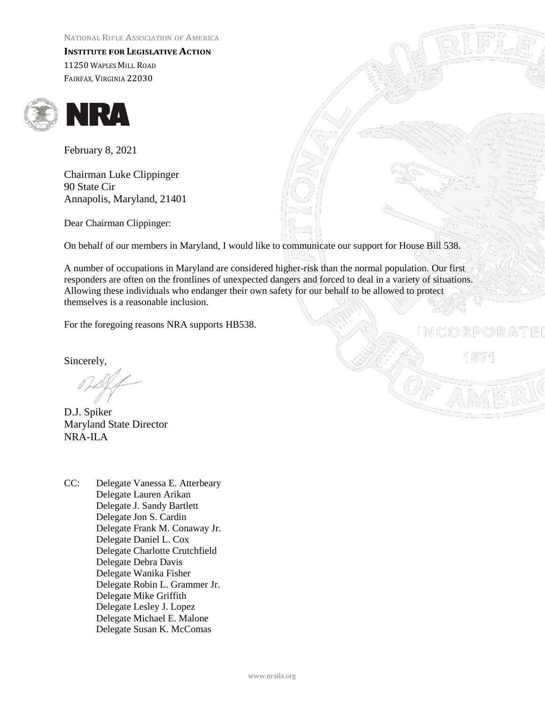NATIONAL RIFLE ASSOCIATION OF AMERICA

**INSTITUTE FOR LEGISLATIVEACTION** 11250 WAPLES MILL ROAD FAIRFAX, VIRGINIA 22030





February 8, 2021

Chairman Luke Clippinger 90 State Cir Annapolis, Maryland, 21401

Dear Chairman Clippinger:

On behalf of our members in Maryland, I would like to communicate our support for House Bill 538.

A number of occupations in Maryland are considered higher-risk than the normal population. Our first responders are often on the frontlines of unexpected dangers and forced to deal in a variety of situations. Allowing these individuals who endanger their own safety for our behalf to be allowed to protect themselves is a reasonable inclusion.

For the foregoing reasons NRA supports HB538.

Sincerely,

D.J. Spiker Maryland State Director NRA-ILA

CC: Delegate Vanessa E. Atterbeary Delegate Lauren Arikan Delegate J. Sandy Bartlett Delegate Jon S. Cardin Delegate Frank M. Conaway Jr. Delegate Daniel L. Cox Delegate Charlotte Crutchfield Delegate Debra Davis Delegate Wanika Fisher Delegate Robin L. Grammer Jr. Delegate Mike Griffith Delegate Lesley J. Lopez Delegate Michael E. Malone Delegate Susan K. McComas